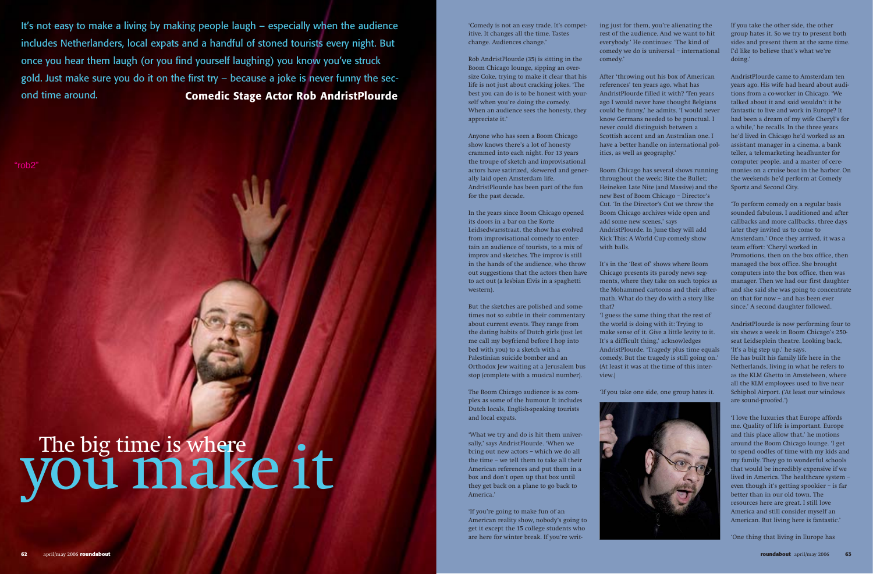itive. It changes all the time. Tastes change. Audiences change.'

Rob AndristPlourde (35) is sitting in the Boom Chicago lounge, sipping an oversize Coke, trying to make it clear that his life is not just about cracking jokes. 'The best you can do is to be honest with yourself when you're doing the comedy. When an audience sees the honesty, they appreciate it.'

Anyone who has seen a Boom Chicago show knows there's a lot of honesty crammed into each night. For 13 years the troupe of sketch and improvisational actors have satirized, skewered and generally laid open Amsterdam life. AndristPlourde has been part of the fun for the past decade.

In the years since Boom Chicago opened its doors in a bar on the Korte Leidsedwarsstraat, the show has evolved from improvisational comedy to entertain an audience of tourists, to a mix of improv and sketches. The improv is still in the hands of the audience, who throw out suggestions that the actors then have to act out (a lesbian Elvis in a spaghetti western).

But the sketches are polished and sometimes not so subtle in their commentary about current events. They range from the dating habits of Dutch girls (just let me call my boyfriend before I hop into bed with you) to a sketch with a Palestinian suicide bomber and an Orthodox Jew waiting at a Jerusalem bus stop (complete with a musical number).

The Boom Chicago audience is as complex as some of the humour. It includes Dutch locals, English-speaking tourists and local expats.

'What we try and do is hit them universally,' says AndristPlourde. 'When we bring out new actors – which we do all the time – we tell them to take all their American references and put them in a box and don't open up that box until they get back on a plane to go back to America.'

'If you're going to make fun of an American reality show, nobody's going to get it except the 15 college students who are here for winter break. If you're writing just for them, you're alienating the rest of the audience. And we want to hit everybody.' He continues: 'The kind of comedy we do is universal – international comedy.'

After 'throwing out his box of American references' ten years ago, what has AndristPlourde filled it with? 'Ten years ago I would never have thought Belgians could be funny,' he admits. 'I would never know Germans needed to be punctual. I never could distinguish between a Scottish accent and an Australian one. I have a better handle on international politics, as well as geography.'

Boom Chicago has several shows running throughout the week: Bite the Bullet; Heineken Late Nite (and Massive) and the new Best of Boom Chicago – Director's Cut. 'In the Director's Cut we throw the Boom Chicago archives wide open and add some new scenes,' says AndristPlourde. In June they will add Kick This: A World Cup comedy show with balls.

It's not easy to make a living by making people laugh – especially when the audience and the comedy is not an easy trade. It's compet-**Comedic Stage Actor Rob AndristPlourde** includes Netherlanders, local expats and a handful of stoned tourists every night. But once you hear them laugh (or you find yourself laughing) you know you've struck gold. Just make sure you do it on the first try – because a joke is never funny the second time around.

> It's in the 'Best of' shows where Boom Chicago presents its parody news segments, where they take on such topics as the Mohammed cartoons and their aftermath. What do they do with a story like that?

'I guess the same thing that the rest of the world is doing with it: Trying to make sense of it. Give a little levity to it. It's a difficult thing,' acknowledges AndristPlourde. 'Tragedy plus time equals comedy. But the tragedy is still going on.' (At least it was at the time of this interview.)

'If you take one side, one group hates it.



If you take the other side, the other group hates it. So we try to present both sides and present them at the same time. I'd like to believe that's what we're doing.'

AndristPlourde came to Amsterdam ten years ago. His wife had heard about auditions from a co-worker in Chicago. 'We talked about it and said wouldn't it be fantastic to live and work in Europe? It had been a dream of my wife Cheryl's for a while,' he recalls. In the three years he'd lived in Chicago he'd worked as an assistant manager in a cinema, a bank teller, a telemarketing headhunter for computer people, and a master of ceremonies on a cruise boat in the harbor. On the weekends he'd perform at Comedy Sportz and Second City.

'To perform comedy on a regular basis sounded fabulous. I auditioned and after callbacks and more callbacks, three days later they invited us to come to Amsterdam.' Once they arrived, it was a team effort: 'Cheryl worked in Promotions, then on the box office, then managed the box office. She brought computers into the box office, then was manager. Then we had our first daughter and she said she was going to concentrate on that for now – and has been ever since.' A second daughter followed.

AndristPlourde is now performing four to six shows a week in Boom Chicago's 250 seat Leidseplein theatre. Looking back, 'It's a big step up,' he says. He has built his family life here in the

Netherlands, living in what he refers to as the KLM Ghetto in Amstelveen, where all the KLM employees used to live near Schiphol Airport. ('At least our windows are sound-proofed.')

'I love the luxuries that Europe affords me. Quality of life is important. Europe and this place allow that,' he motions around the Boom Chicago lounge. 'I get to spend oodles of time with my kids and my family. They go to wonderful schools that would be incredibly expensive if we lived in America. The healthcare system – even though it's getting spookier – is far better than in our old town. The resources here are great. I still love America and still consider myself an American. But living here is fantastic.'

'One thing that living in Europe has

"rob2"

## The big time is where  $\sqrt{\frac{1}{10}}$